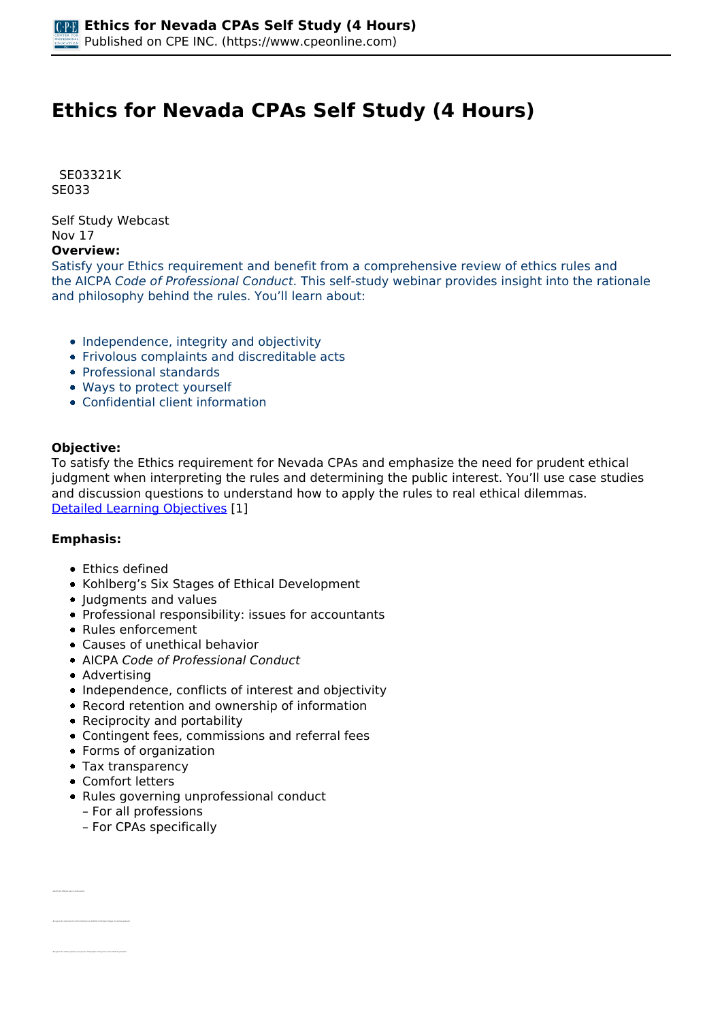# **Ethics for Nevada CPAs Self Study (4 Hours)**

 *SE03321K SE033* 

*Self Study Webcast Nov 17* 

## **Overview:**

*Satisfy your Ethics requirement and benefit from a comprehensive review of ethics rules and the AICPA Code of Professional Conduct. This self-study webinar provides insight into the rationale and philosophy behind the rules. You'll learn about:*

- *Independence, integrity and objectivity*
- *Frivolous complaints and discreditable acts*
- *Professional standards*
- *Ways to protect yourself*
- *Confidential client information*

### **Objective:**

*To satisfy the Ethics requirement for Nevada CPAs and emphasize the need for prudent ethical judgment when interpreting the rules and determining the public interest. You'll use case studies and discussion questions to understand how to apply the rules to real ethical dilemmas. [Detailed Learning Objectives](https://www.cpeonline.com/JavaScript:showObjectivesPopup();) [1]*

### **Emphasis:**

- *Ethics defined*
- *Kohlberg's Six Stages of Ethical Development*
- *Judgments and values*
- *Professional responsibility: issues for accountants*
- *Rules enforcement*
- *Causes of unethical behavior*
- *AICPA Code of Professional Conduct*
- *Advertising*
- *Independence, conflicts of interest and objectivity*
- *Record retention and ownership of information*
- *Reciprocity and portability*
- *Contingent fees, commissions and referral fees*
- *Forms of organization*
- *Tax transparency*
- *Comfort letters*

*• Identify the different ways to define ethics*

- *Rules governing unprofessional conduct*
	- *For all professions*
	- *For CPAs specifically*